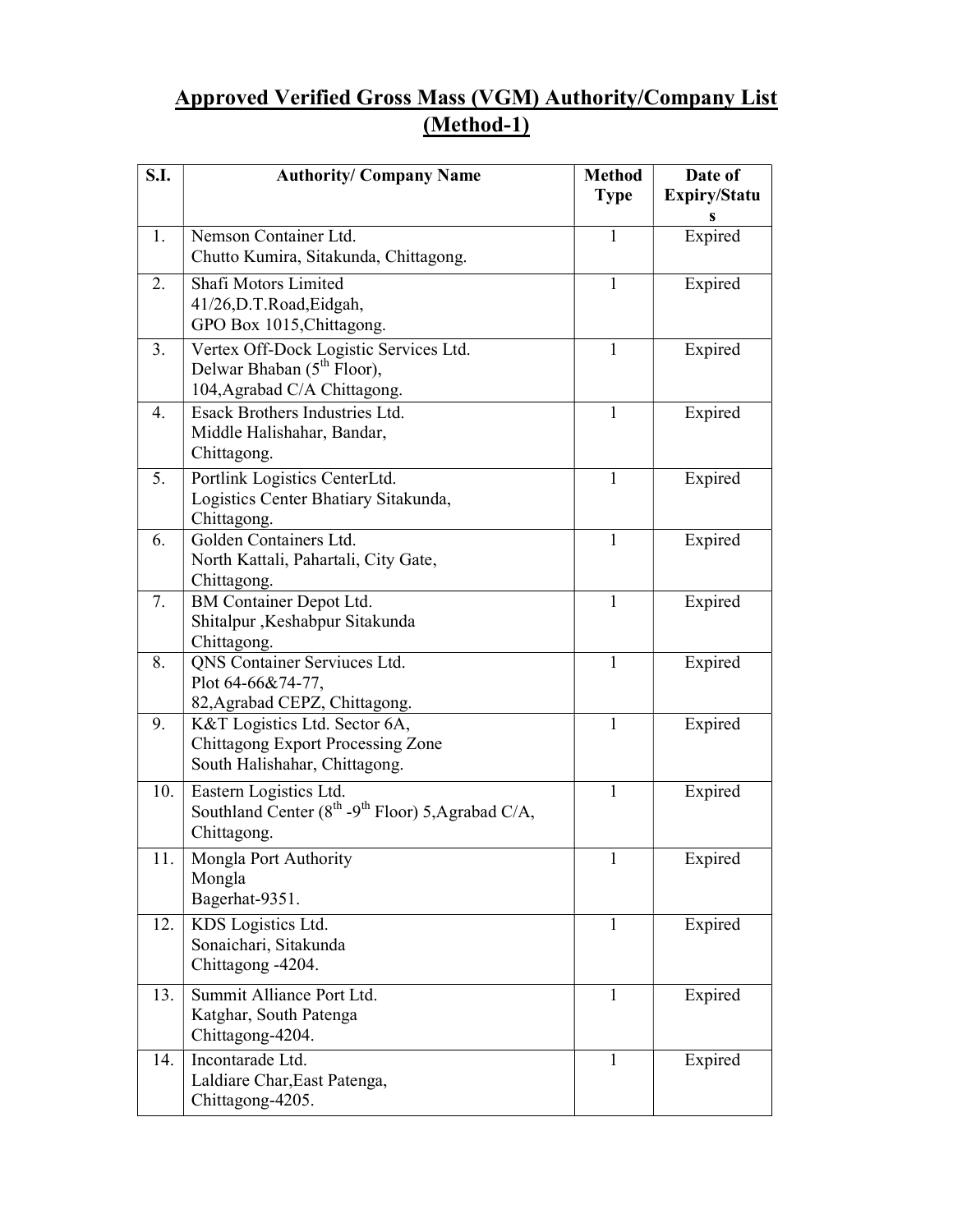## Approved Verified Gross Mass (VGM) Authority/Company List (Method-1)

| S.I. | <b>Authority/ Company Name</b>                                                                                     | <b>Method</b><br><b>Type</b> | Date of<br>Expiry/Statu<br>S |
|------|--------------------------------------------------------------------------------------------------------------------|------------------------------|------------------------------|
| 1.   | Nemson Container Ltd.<br>Chutto Kumira, Sitakunda, Chittagong.                                                     | 1                            | Expired                      |
| 2.   | Shafi Motors Limited<br>41/26,D.T.Road,Eidgah,<br>GPO Box 1015, Chittagong.                                        | 1                            | Expired                      |
| 3.   | Vertex Off-Dock Logistic Services Ltd.<br>Delwar Bhaban (5 <sup>th</sup> Floor),<br>104, Agrabad C/A Chittagong.   | 1                            | Expired                      |
| 4.   | Esack Brothers Industries Ltd.<br>Middle Halishahar, Bandar,<br>Chittagong.                                        | 1                            | Expired                      |
| 5.   | Portlink Logistics CenterLtd.<br>Logistics Center Bhatiary Sitakunda,<br>Chittagong.                               | $\mathbf{1}$                 | Expired                      |
| 6.   | Golden Containers Ltd.<br>North Kattali, Pahartali, City Gate,<br>Chittagong.                                      | 1                            | Expired                      |
| 7.   | BM Container Depot Ltd.<br>Shitalpur , Keshabpur Sitakunda<br>Chittagong.                                          | $\mathbf{1}$                 | Expired                      |
| 8.   | QNS Container Serviuces Ltd.<br>Plot 64-66&74-77,<br>82, Agrabad CEPZ, Chittagong.                                 | $\mathbf{1}$                 | Expired                      |
| 9.   | K&T Logistics Ltd. Sector 6A,<br><b>Chittagong Export Processing Zone</b><br>South Halishahar, Chittagong.         | $\mathbf{1}$                 | Expired                      |
| 10.  | Eastern Logistics Ltd.<br>Southland Center (8 <sup>th</sup> -9 <sup>th</sup> Floor) 5, Agrabad C/A,<br>Chittagong. | $\mathbf{1}$                 | Expired                      |
| 11.  | Mongla Port Authority<br>Mongla<br>Bagerhat-9351.                                                                  | $\mathbf{1}$                 | Expired                      |
| 12.  | KDS Logistics Ltd.<br>Sonaichari, Sitakunda<br>Chittagong -4204.                                                   | $\mathbf{1}$                 | Expired                      |
| 13.  | Summit Alliance Port Ltd.<br>Katghar, South Patenga<br>Chittagong-4204.                                            | $\mathbf{1}$                 | Expired                      |
| 14.  | Incontarade Ltd.<br>Laldiare Char, East Patenga,<br>Chittagong-4205.                                               | $\mathbf{1}$                 | Expired                      |